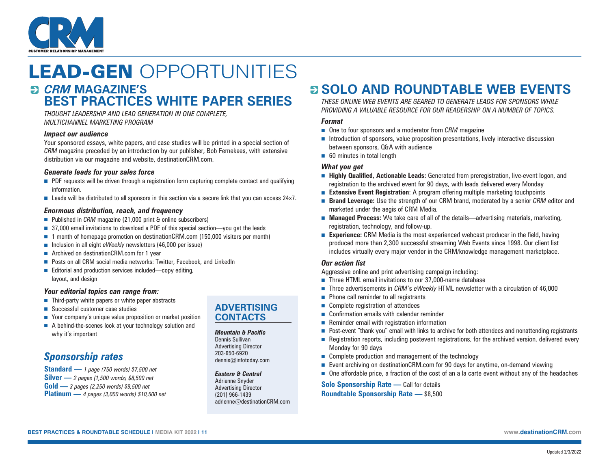

### LEAD-GEN OPPORTUNITIES *CRM* **MAGAZINE'S BEST PRACTICES WHITE PAPER SERIES**

*THOUGHT LEADERSHIP AND LEAD GENERATION IN ONE COMPLETE, MULTICHANNEL MARKETING PROGRAM*

#### *Impact our audience*

Your sponsored essays, white papers, and case studies will be printed in a special section of *CRM* magazine preceded by an introduction by our publisher, Bob Fernekees, with extensive distribution via our magazine and website, [destinationCRM.com.](http://destinationCRM.com)

#### *Generate leads for your sales force*

- **n** PDF requests will be driven through a registration form capturing complete contact and qualifying information.
- Leads will be distributed to all sponsors in this section via a secure link that you can access 24x7.

#### *Enormous distribution, reach, and frequency*

- Published in *CRM* magazine (21,000 print & online subscribers)
- 37,000 email invitations to download a PDF of this special section—you get the leads
- 1 month of homepage promotion on [destinationCRM.com](http://destinationCRM.com) (150,000 visitors per month)
- Inclusion in all eight *eWeekly* newsletters (46,000 per issue)
- Archived on [destinationCRM.com](http://destinationCRM.com) for 1 year
- Posts on all CRM social media networks: Twitter, Facebook, and LinkedIn
- Editorial and production services included—copy editing, layout, and design

#### *Your editorial topics can range from:*

- $\blacksquare$  Third-party white papers or white paper abstracts
- $\blacksquare$  Successful customer case studies
- Your company's unique value proposition or market position
- A behind-the-scenes look at your technology solution and why it's important

### *Sponsorship rates*

**Standard —** *1 page (750 words) \$7,500 net* **Silver —** *2 pages (1,500 words) \$8,500 net* **Gold —** *3 pages (2,250 words) \$9,500 net* **Platinum —** *4 pages (3,000 words) \$10,500 net*

### **ADVERTISING CONTACTS**

#### *Mountain & Pacific*

Dennis Sullivan Advertising Director 203-650-6920 [dennis@infotoday.com](mailto:dennis@infotoday.com)

#### *Eastern & Central*

Adrienne Snyder Advertising Director (201) 966-1439 [adrienne@destinationCRM.com](mailto:adrienne@destinationCRM.com)

### **SOLO AND ROUNDTABLE WEB EVENTS**

*THESE ONLINE WEB EVENTS ARE GEARED TO GENERATE LEADS FOR SPONSORS WHILE PROVIDING A VALUABLE RESOURCE FOR OUR READERSHIP ON A NUMBER OF TOPICS.*

#### *Format*

- One to four sponsors and a moderator from *CRM* magazine
- $\blacksquare$  Introduction of sponsors, value proposition presentations, lively interactive discussion between sponsors, Q&A with audience
- $\blacksquare$  60 minutes in total length

#### *What you get*

- <sup>n</sup> **Highly Qualified, Actionable Leads:** Generated from preregistration, live-event logon, and registration to the archived event for 90 days, with leads delivered every Monday
- **Extensive Event Registration**: A program offering multiple marketing touchpoints
- **Brand Leverage:** Use the strength of our CRM brand, moderated by a senior *CRM* editor and marketed under the aegis of CRM Media.
- **Managed Process:** We take care of all of the details—advertising materials, marketing, registration, technology, and follow-up.
- **Experience:** CRM Media is the most experienced webcast producer in the field, having produced more than 2,300 successful streaming Web Events since 1998. Our client list includes virtually every major vendor in the CRM/knowledge management marketplace.

#### *Our action list*

Aggressive online and print advertising campaign including:

- $\blacksquare$  Three HTML email invitations to our 37,000-name database
- <sup>n</sup> Three advertisements in *CRM*'s *eWeekly* HTML newsletter with a circulation of 46,000
- $\blacksquare$  Phone call reminder to all registrants
- $\blacksquare$  Complete registration of attendees
- Confirmation emails with calendar reminder
- $\blacksquare$  Reminder email with registration information
- <sup>n</sup> Post-event "thank you" email with links to archive for both attendees and nonattending registrants
- <sup>n</sup> Registration reports, including postevent registrations, for the archived version, delivered every Monday for 90 days
- $\blacksquare$  Complete production and management of the technology
- Event archiving on [destinationCRM.com](http://destinationCRM.com) for 90 days for anytime, on-demand viewing
- <sup>n</sup> One affordable price, a fraction of the cost of an a la carte event without any of the headaches

**Solo Sponsorship Rate —** Call for details **Roundtable Sponsorship Rate —** \$8,500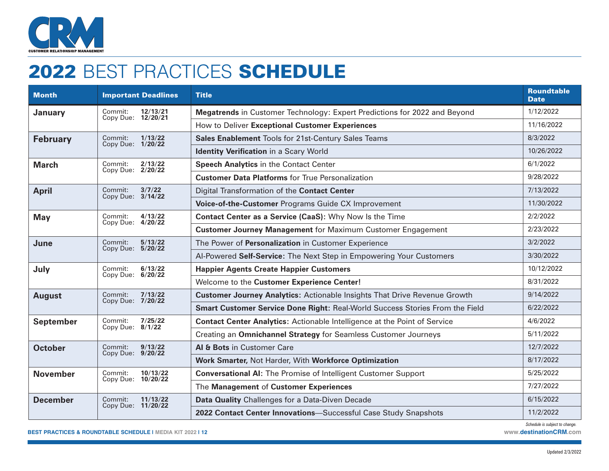

# 2022 BEST PRACTICES SCHEDULE

| <b>Month</b>     | <b>Important Deadlines</b>                | <b>Title</b>                                                                     | <b>Roundtable</b><br><b>Date</b> |
|------------------|-------------------------------------------|----------------------------------------------------------------------------------|----------------------------------|
| January          | Commit:<br>12/13/21<br>Copy Due: 12/20/21 | Megatrends in Customer Technology: Expert Predictions for 2022 and Beyond        | 1/12/2022                        |
|                  |                                           | How to Deliver Exceptional Customer Experiences                                  | 11/16/2022                       |
| <b>February</b>  | 1/13/22<br>Commit:<br>Copy Due: 1/20/22   | Sales Enablement Tools for 21st-Century Sales Teams                              | 8/3/2022                         |
|                  |                                           | <b>Identity Verification in a Scary World</b>                                    | 10/26/2022                       |
| <b>March</b>     | Commit:<br>2/13/22<br>Copy Due: 2/20/22   | <b>Speech Analytics in the Contact Center</b>                                    | 6/1/2022                         |
|                  |                                           | <b>Customer Data Platforms for True Personalization</b>                          | 9/28/2022                        |
| <b>April</b>     | Commit:<br>3/7/22<br>Copy Due: 3/14/22    | Digital Transformation of the Contact Center                                     | 7/13/2022                        |
|                  |                                           | Voice-of-the-Customer Programs Guide CX Improvement                              | 11/30/2022                       |
| <b>May</b>       | 4/13/22<br>Commit:<br>Copy Due: 4/20/22   | Contact Center as a Service (CaaS): Why Now Is the Time                          | 2/2/2022                         |
|                  |                                           | <b>Customer Journey Management for Maximum Customer Engagement</b>               | 2/23/2022                        |
| June             | Commit:<br>5/13/22<br>Copy Due: 5/20/22   | The Power of Personalization in Customer Experience                              | 3/2/2022                         |
|                  |                                           | Al-Powered Self-Service: The Next Step in Empowering Your Customers              | 3/30/2022                        |
| July             | 6/13/22<br>Commit:<br>Copy Due: 6/20/22   | <b>Happier Agents Create Happier Customers</b>                                   | 10/12/2022                       |
|                  |                                           | Welcome to the Customer Experience Center!                                       | 8/31/2022                        |
| <b>August</b>    | Commit:<br>7/13/22<br>Copy Due: 7/20/22   | <b>Customer Journey Analytics: Actionable Insights That Drive Revenue Growth</b> | 9/14/2022                        |
|                  |                                           | Smart Customer Service Done Right: Real-World Success Stories From the Field     | 6/22/2022                        |
| <b>September</b> | 7/25/22<br>Commit:<br>Copy Due: 8/1/22    | <b>Contact Center Analytics:</b> Actionable Intelligence at the Point of Service | 4/6/2022                         |
|                  |                                           | Creating an Omnichannel Strategy for Seamless Customer Journeys                  | 5/11/2022                        |
| <b>October</b>   | Commit:<br>9/13/22<br>Copy Due: 9/20/22   | Al & Bots in Customer Care                                                       | 12/7/2022                        |
|                  |                                           | Work Smarter, Not Harder, With Workforce Optimization                            | 8/17/2022                        |
| <b>November</b>  | Commit:<br>10/13/22<br>Copy Due: 10/20/22 | <b>Conversational AI:</b> The Promise of Intelligent Customer Support            | 5/25/2022                        |
|                  |                                           | The Management of Customer Experiences                                           | 7/27/2022                        |
| <b>December</b>  | Commit:<br>11/13/22<br>Copy Due: 11/20/22 | Data Quality Challenges for a Data-Diven Decade                                  | 6/15/2022                        |
|                  |                                           | 2022 Contact Center Innovations-Successful Case Study Snapshots                  | 11/2/2022                        |

**BEST PRACTICES & ROUNDTABLE SCHEDULE | MEDIA KIT 2022 | 12 [www.destinationCRM.com](http://www.destinationCRM.com)**

*Schedule is subject to change.*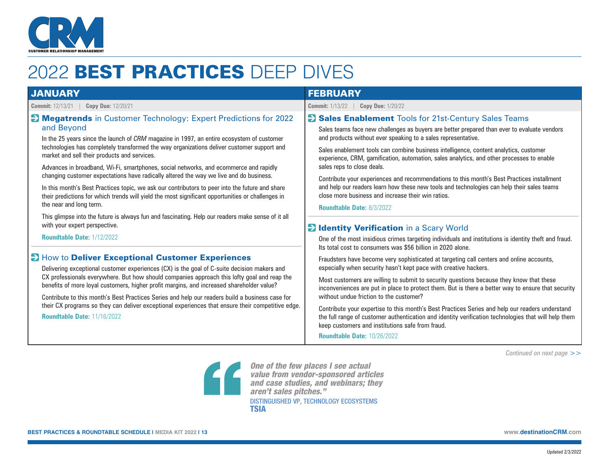

# 2022 BEST PRACTICES DEEP DIVES

| <b>JANUARY</b>                                                                                                                                                                                                                                                                                                                                                                                                                                                                                                                                                                                                                                                                                                                                                                                                                                                                                                                                                                                                                                                                                                                                                                                                                                                                                                                                                                                                                                                                                                       | <b>FEBRUARY</b>                                                                                                                                                                                                                                                                                                                                                                                                                                                                                                                                                                                                                                                                                                                                                                                                                                                                                                                                                                                                                                                                                                                                                                                                                                                                                                                                                                                                                                                                                                                                                                                                                                                           |  |
|----------------------------------------------------------------------------------------------------------------------------------------------------------------------------------------------------------------------------------------------------------------------------------------------------------------------------------------------------------------------------------------------------------------------------------------------------------------------------------------------------------------------------------------------------------------------------------------------------------------------------------------------------------------------------------------------------------------------------------------------------------------------------------------------------------------------------------------------------------------------------------------------------------------------------------------------------------------------------------------------------------------------------------------------------------------------------------------------------------------------------------------------------------------------------------------------------------------------------------------------------------------------------------------------------------------------------------------------------------------------------------------------------------------------------------------------------------------------------------------------------------------------|---------------------------------------------------------------------------------------------------------------------------------------------------------------------------------------------------------------------------------------------------------------------------------------------------------------------------------------------------------------------------------------------------------------------------------------------------------------------------------------------------------------------------------------------------------------------------------------------------------------------------------------------------------------------------------------------------------------------------------------------------------------------------------------------------------------------------------------------------------------------------------------------------------------------------------------------------------------------------------------------------------------------------------------------------------------------------------------------------------------------------------------------------------------------------------------------------------------------------------------------------------------------------------------------------------------------------------------------------------------------------------------------------------------------------------------------------------------------------------------------------------------------------------------------------------------------------------------------------------------------------------------------------------------------------|--|
| <b>Commit:</b> 12/13/21<br><b>Copy Due: 12/20/21</b>                                                                                                                                                                                                                                                                                                                                                                                                                                                                                                                                                                                                                                                                                                                                                                                                                                                                                                                                                                                                                                                                                                                                                                                                                                                                                                                                                                                                                                                                 | <b>Commit: 1/13/22</b><br><b>Copy Due: 1/20/22</b>                                                                                                                                                                                                                                                                                                                                                                                                                                                                                                                                                                                                                                                                                                                                                                                                                                                                                                                                                                                                                                                                                                                                                                                                                                                                                                                                                                                                                                                                                                                                                                                                                        |  |
| Megatrends in Customer Technology: Expert Predictions for 2022<br>and Beyond<br>In the 25 years since the launch of CRM magazine in 1997, an entire ecosystem of customer<br>technologies has completely transformed the way organizations deliver customer support and<br>market and sell their products and services.<br>Advances in broadband, Wi-Fi, smartphones, social networks, and ecommerce and rapidly<br>changing customer expectations have radically altered the way we live and do business.<br>In this month's Best Practices topic, we ask our contributors to peer into the future and share<br>their predictions for which trends will yield the most significant opportunities or challenges in<br>the near and long term.<br>This glimpse into the future is always fun and fascinating. Help our readers make sense of it all<br>with your expert perspective.<br><b>Roundtable Date: 1/12/2022</b><br>How to Deliver Exceptional Customer Experiences<br>Delivering exceptional customer experiences (CX) is the goal of C-suite decision makers and<br>CX professionals everywhere. But how should companies approach this lofty goal and reap the<br>benefits of more loyal customers, higher profit margins, and increased shareholder value?<br>Contribute to this month's Best Practices Series and help our readers build a business case for<br>their CX programs so they can deliver exceptional experiences that ensure their competitive edge.<br><b>Roundtable Date: 11/16/2022</b> | Sales Enablement Tools for 21st-Century Sales Teams<br>Sales teams face new challenges as buyers are better prepared than ever to evaluate vendors<br>and products without ever speaking to a sales representative.<br>Sales enablement tools can combine business intelligence, content analytics, customer<br>experience, CRM, gamification, automation, sales analytics, and other processes to enable<br>sales reps to close deals.<br>Contribute your experiences and recommendations to this month's Best Practices installment<br>and help our readers learn how these new tools and technologies can help their sales teams<br>close more business and increase their win ratios.<br><b>Roundtable Date: 8/3/2022</b><br><b>El Identity Verification</b> in a Scary World<br>One of the most insidious crimes targeting individuals and institutions is identity theft and fraud.<br>Its total cost to consumers was \$56 billion in 2020 alone.<br>Fraudsters have become very sophisticated at targeting call centers and online accounts,<br>especially when security hasn't kept pace with creative hackers.<br>Most customers are willing to submit to security questions because they know that these<br>inconveniences are put in place to protect them. But is there a better way to ensure that security<br>without undue friction to the customer?<br>Contribute your expertise to this month's Best Practices Series and help our readers understand<br>the full range of customer authentication and identity verification technologies that will help them<br>keep customers and institutions safe from fraud.<br><b>Roundtable Date: 10/26/2022</b> |  |

*Continued on next page >>*



*One of the few places I see actual value from vendor-sponsored articles and case studies, and webinars; they aren't sales pitches."* DISTINGUISHED VP, TECHNOLOGY ECOSYSTEMS TSIA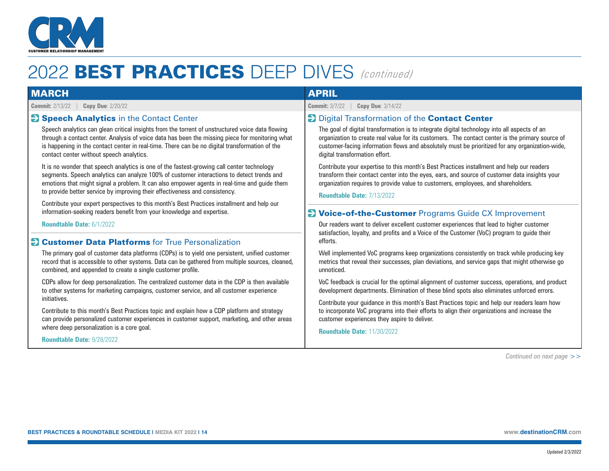

| <b>MARCH</b>                                                                                                                                                                                                                                                                                                                                                                                                                                                                                                                                                                                                                                                                                                                                                                                                                                                         | <b>APRIL</b>                                                                                                                                                                                                                                                                                                                                                                                                                                                                                                                                                                                                                                                                                                         |  |
|----------------------------------------------------------------------------------------------------------------------------------------------------------------------------------------------------------------------------------------------------------------------------------------------------------------------------------------------------------------------------------------------------------------------------------------------------------------------------------------------------------------------------------------------------------------------------------------------------------------------------------------------------------------------------------------------------------------------------------------------------------------------------------------------------------------------------------------------------------------------|----------------------------------------------------------------------------------------------------------------------------------------------------------------------------------------------------------------------------------------------------------------------------------------------------------------------------------------------------------------------------------------------------------------------------------------------------------------------------------------------------------------------------------------------------------------------------------------------------------------------------------------------------------------------------------------------------------------------|--|
| <b>Copy Due: 2/20/22</b>                                                                                                                                                                                                                                                                                                                                                                                                                                                                                                                                                                                                                                                                                                                                                                                                                                             | <b>Commit: 3/7/22</b>                                                                                                                                                                                                                                                                                                                                                                                                                                                                                                                                                                                                                                                                                                |  |
| <b>Commit: 2/13/22</b>                                                                                                                                                                                                                                                                                                                                                                                                                                                                                                                                                                                                                                                                                                                                                                                                                                               | <b>Copy Due: 3/14/22</b>                                                                                                                                                                                                                                                                                                                                                                                                                                                                                                                                                                                                                                                                                             |  |
| Speech Analytics in the Contact Center<br>Speech analytics can glean critical insights from the torrent of unstructured voice data flowing<br>through a contact center. Analysis of voice data has been the missing piece for monitoring what<br>is happening in the contact center in real-time. There can be no digital transformation of the<br>contact center without speech analytics.<br>It is no wonder that speech analytics is one of the fastest-growing call center technology<br>segments. Speech analytics can analyze 100% of customer interactions to detect trends and<br>emotions that might signal a problem. It can also empower agents in real-time and guide them<br>to provide better service by improving their effectiveness and consistency.<br>Contribute your expert perspectives to this month's Best Practices installment and help our | <b>Digital Transformation of the Contact Center</b><br>The goal of digital transformation is to integrate digital technology into all aspects of an<br>organization to create real value for its customers. The contact center is the primary source of<br>customer-facing information flows and absolutely must be prioritized for any organization-wide,<br>digital transformation effort.<br>Contribute your expertise to this month's Best Practices installment and help our readers<br>transform their contact center into the eyes, ears, and source of customer data insights your<br>organization requires to provide value to customers, employees, and shareholders.<br><b>Roundtable Date: 7/13/2022</b> |  |
| information-seeking readers benefit from your knowledge and expertise.                                                                                                                                                                                                                                                                                                                                                                                                                                                                                                                                                                                                                                                                                                                                                                                               | <b>D</b> Voice-of-the-Customer Programs Guide CX Improvement                                                                                                                                                                                                                                                                                                                                                                                                                                                                                                                                                                                                                                                         |  |
| <b>Roundtable Date: 6/1/2022</b>                                                                                                                                                                                                                                                                                                                                                                                                                                                                                                                                                                                                                                                                                                                                                                                                                                     | Our readers want to deliver excellent customer experiences that lead to higher customer                                                                                                                                                                                                                                                                                                                                                                                                                                                                                                                                                                                                                              |  |
| <b>Customer Data Platforms</b> for True Personalization                                                                                                                                                                                                                                                                                                                                                                                                                                                                                                                                                                                                                                                                                                                                                                                                              | satisfaction, loyalty, and profits and a Voice of the Customer (VoC) program to guide their                                                                                                                                                                                                                                                                                                                                                                                                                                                                                                                                                                                                                          |  |
| $\rightarrow$                                                                                                                                                                                                                                                                                                                                                                                                                                                                                                                                                                                                                                                                                                                                                                                                                                                        | efforts.                                                                                                                                                                                                                                                                                                                                                                                                                                                                                                                                                                                                                                                                                                             |  |
| The primary goal of customer data platforms (CDPs) is to yield one persistent, unified customer                                                                                                                                                                                                                                                                                                                                                                                                                                                                                                                                                                                                                                                                                                                                                                      | Well implemented VoC programs keep organizations consistently on track while producing key                                                                                                                                                                                                                                                                                                                                                                                                                                                                                                                                                                                                                           |  |
| record that is accessible to other systems. Data can be gathered from multiple sources, cleaned,                                                                                                                                                                                                                                                                                                                                                                                                                                                                                                                                                                                                                                                                                                                                                                     | metrics that reveal their successes, plan deviations, and service gaps that might otherwise go                                                                                                                                                                                                                                                                                                                                                                                                                                                                                                                                                                                                                       |  |
| combined, and appended to create a single customer profile.                                                                                                                                                                                                                                                                                                                                                                                                                                                                                                                                                                                                                                                                                                                                                                                                          | unnoticed.                                                                                                                                                                                                                                                                                                                                                                                                                                                                                                                                                                                                                                                                                                           |  |
| CDPs allow for deep personalization. The centralized customer data in the CDP is then available                                                                                                                                                                                                                                                                                                                                                                                                                                                                                                                                                                                                                                                                                                                                                                      | VoC feedback is crucial for the optimal alignment of customer success, operations, and product                                                                                                                                                                                                                                                                                                                                                                                                                                                                                                                                                                                                                       |  |
| to other systems for marketing campaigns, customer service, and all customer experience                                                                                                                                                                                                                                                                                                                                                                                                                                                                                                                                                                                                                                                                                                                                                                              | development departments. Elimination of these blind spots also eliminates unforced errors.                                                                                                                                                                                                                                                                                                                                                                                                                                                                                                                                                                                                                           |  |
| initiatives.                                                                                                                                                                                                                                                                                                                                                                                                                                                                                                                                                                                                                                                                                                                                                                                                                                                         | Contribute your guidance in this month's Bast Practices topic and help our readers learn how                                                                                                                                                                                                                                                                                                                                                                                                                                                                                                                                                                                                                         |  |
| Contribute to this month's Best Practices topic and explain how a CDP platform and strategy                                                                                                                                                                                                                                                                                                                                                                                                                                                                                                                                                                                                                                                                                                                                                                          | to incorporate VoC programs into their efforts to align their organizations and increase the                                                                                                                                                                                                                                                                                                                                                                                                                                                                                                                                                                                                                         |  |
| can provide personalized customer experiences in customer support, marketing, and other areas                                                                                                                                                                                                                                                                                                                                                                                                                                                                                                                                                                                                                                                                                                                                                                        | customer experiences they aspire to deliver.                                                                                                                                                                                                                                                                                                                                                                                                                                                                                                                                                                                                                                                                         |  |
| where deep personalization is a core goal.                                                                                                                                                                                                                                                                                                                                                                                                                                                                                                                                                                                                                                                                                                                                                                                                                           | <b>Roundtable Date: 11/30/2022</b>                                                                                                                                                                                                                                                                                                                                                                                                                                                                                                                                                                                                                                                                                   |  |
| <b>Roundtable Date: 9/28/2022</b>                                                                                                                                                                                                                                                                                                                                                                                                                                                                                                                                                                                                                                                                                                                                                                                                                                    |                                                                                                                                                                                                                                                                                                                                                                                                                                                                                                                                                                                                                                                                                                                      |  |

*Continued on next page >>*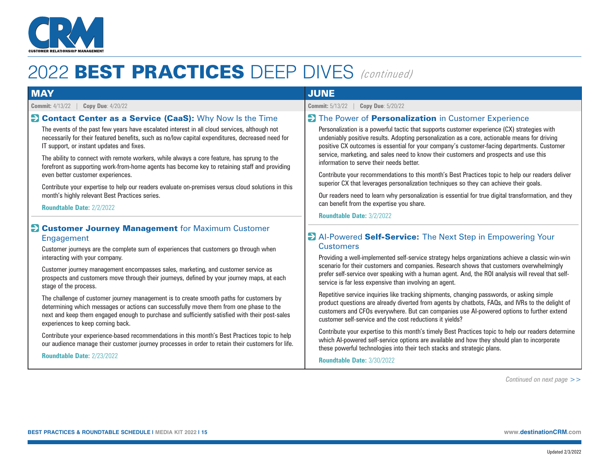

| <b>MAY</b>                                                                                                                                                                                                                                                                                                                                                                                                                                                                                                                                                                                                                                                                                                                                     | <b>JUNE</b>                                                                                                                                                                                                                                                                                                                                                                                                                                                                                                                                                                                                                                                                                                                                                                                                                                                                          |
|------------------------------------------------------------------------------------------------------------------------------------------------------------------------------------------------------------------------------------------------------------------------------------------------------------------------------------------------------------------------------------------------------------------------------------------------------------------------------------------------------------------------------------------------------------------------------------------------------------------------------------------------------------------------------------------------------------------------------------------------|--------------------------------------------------------------------------------------------------------------------------------------------------------------------------------------------------------------------------------------------------------------------------------------------------------------------------------------------------------------------------------------------------------------------------------------------------------------------------------------------------------------------------------------------------------------------------------------------------------------------------------------------------------------------------------------------------------------------------------------------------------------------------------------------------------------------------------------------------------------------------------------|
| <b>Copy Due: 4/20/22</b><br><b>Commit: 4/13/22</b>                                                                                                                                                                                                                                                                                                                                                                                                                                                                                                                                                                                                                                                                                             | <b>Commit: 5/13/22</b><br><b>Copy Due: 5/20/22</b>                                                                                                                                                                                                                                                                                                                                                                                                                                                                                                                                                                                                                                                                                                                                                                                                                                   |
| <b>Contact Center as a Service (CaaS):</b> Why Now Is the Time<br>The events of the past few years have escalated interest in all cloud services, although not<br>necessarily for their featured benefits, such as no/low capital expenditures, decreased need for<br>IT support, or instant updates and fixes.<br>The ability to connect with remote workers, while always a core feature, has sprung to the<br>forefront as supporting work-from-home agents has become key to retaining staff and providing<br>even better customer experiences.<br>Contribute your expertise to help our readers evaluate on-premises versus cloud solutions in this<br>month's highly relevant Best Practices series.<br><b>Roundtable Date: 2/2/2022</b> | The Power of <b>Personalization</b> in Customer Experience<br>Personalization is a powerful tactic that supports customer experience (CX) strategies with<br>undeniably positive results. Adopting personalization as a core, actionable means for driving<br>positive CX outcomes is essential for your company's customer-facing departments. Customer<br>service, marketing, and sales need to know their customers and prospects and use this<br>information to serve their needs better.<br>Contribute your recommendations to this month's Best Practices topic to help our readers deliver<br>superior CX that leverages personalization techniques so they can achieve their goals.<br>Our readers need to learn why personalization is essential for true digital transformation, and they<br>can benefit from the expertise you share.<br><b>Roundtable Date: 3/2/2022</b> |
| <b>Example: Customer Journey Management</b> for Maximum Customer<br>Engagement<br>Customer journeys are the complete sum of experiences that customers go through when<br>interacting with your company.<br>Customer journey management encompasses sales, marketing, and customer service as<br>prospects and customers move through their journeys, defined by your journey maps, at each<br>stage of the process.<br>The challenge of customer journey management is to create smooth paths for customers by<br>determining which messages or actions can successfully move them from one phase to the                                                                                                                                      | Al-Powered Self-Service: The Next Step in Empowering Your<br><b>Customers</b><br>Providing a well-implemented self-service strategy helps organizations achieve a classic win-win<br>scenario for their customers and companies. Research shows that customers overwhelmingly<br>prefer self-service over speaking with a human agent. And, the ROI analysis will reveal that self-<br>service is far less expensive than involving an agent.<br>Repetitive service inquiries like tracking shipments, changing passwords, or asking simple<br>product questions are already diverted from agents by chatbots, FAQs, and IVRs to the delight of                                                                                                                                                                                                                                      |
| next and keep them engaged enough to purchase and sufficiently satisfied with their post-sales<br>experiences to keep coming back.<br>Contribute your experience-based recommendations in this month's Best Practices topic to help<br>our audience manage their customer journey processes in order to retain their customers for life.                                                                                                                                                                                                                                                                                                                                                                                                       | customers and CFOs everywhere. But can companies use AI-powered options to further extend<br>customer self-service and the cost reductions it yields?<br>Contribute your expertise to this month's timely Best Practices topic to help our readers determine<br>which AI-powered self-service options are available and how they should plan to incorporate<br>these powerful technologies into their tech stacks and strategic plans.                                                                                                                                                                                                                                                                                                                                                                                                                                               |

**Roundtable Date:** 2/23/2022

#### **Roundtable Date:** 3/30/2022

*Continued on next page >>*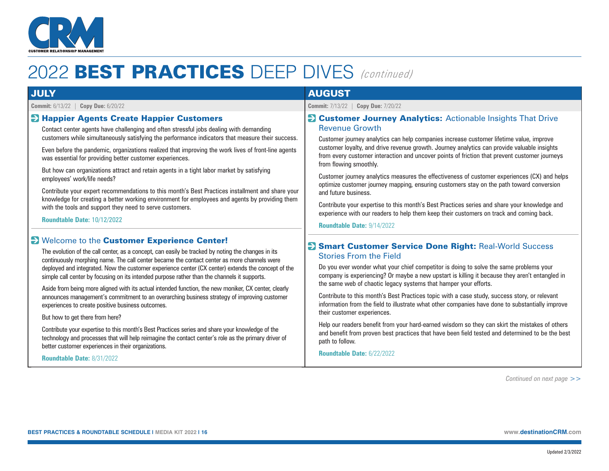

| <b>Commit:</b> 7/13/22   <b>Copy Due:</b> 7/20/22<br><b>El Customer Journey Analytics:</b> Actionable Insights That Drive<br><b>Revenue Growth</b><br>Customer journey analytics can help companies increase customer lifetime value, improve<br>customer loyalty, and drive revenue growth. Journey analytics can provide valuable insights<br>from every customer interaction and uncover points of friction that prevent customer journeys<br>from flowing smoothly.<br>Customer journey analytics measures the effectiveness of customer experiences (CX) and helps<br>optimize customer journey mapping, ensuring customers stay on the path toward conversion<br>and future business.                                                                                                                                                                                                                                                                                                                                                                                              |
|------------------------------------------------------------------------------------------------------------------------------------------------------------------------------------------------------------------------------------------------------------------------------------------------------------------------------------------------------------------------------------------------------------------------------------------------------------------------------------------------------------------------------------------------------------------------------------------------------------------------------------------------------------------------------------------------------------------------------------------------------------------------------------------------------------------------------------------------------------------------------------------------------------------------------------------------------------------------------------------------------------------------------------------------------------------------------------------|
|                                                                                                                                                                                                                                                                                                                                                                                                                                                                                                                                                                                                                                                                                                                                                                                                                                                                                                                                                                                                                                                                                          |
| Contribute your expertise to this month's Best Practices series and share your knowledge and<br>experience with our readers to help them keep their customers on track and coming back.<br><b>Roundtable Date: 9/14/2022</b><br>Smart Customer Service Done Right: Real-World Success<br><b>Stories From the Field</b><br>Do you ever wonder what your chief competitor is doing to solve the same problems your<br>company is experiencing? Or maybe a new upstart is killing it because they aren't entangled in<br>the same web of chaotic legacy systems that hamper your efforts.<br>Contribute to this month's Best Practices topic with a case study, success story, or relevant<br>information from the field to illustrate what other companies have done to substantially improve<br>their customer experiences.<br>Help our readers benefit from your hard-earned wisdom so they can skirt the mistakes of others<br>and benefit from proven best practices that have been field tested and determined to be the best<br>path to follow.<br><b>Roundtable Date: 6/22/2022</b> |
|                                                                                                                                                                                                                                                                                                                                                                                                                                                                                                                                                                                                                                                                                                                                                                                                                                                                                                                                                                                                                                                                                          |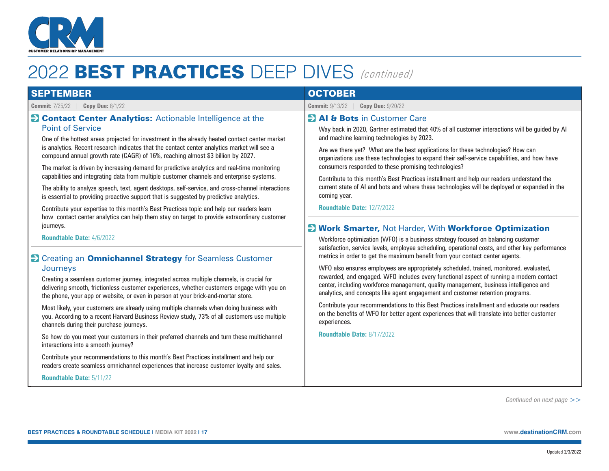

| <b>SEPTEMBER</b>                                                                                                                                                                                                                                                                                                                                                                                                                                                                                                                                                                                                                                                                                                                                                                                                                                                         | <b>OCTOBER</b>                                                                                                                                                                                                                                                                                                                                                                                                                                                                                                                                                                                                                                                                                                                                                                                                                                                                                                                                                                                                                                                                                                                                                                                                                                                                                                                                                                                   |  |
|--------------------------------------------------------------------------------------------------------------------------------------------------------------------------------------------------------------------------------------------------------------------------------------------------------------------------------------------------------------------------------------------------------------------------------------------------------------------------------------------------------------------------------------------------------------------------------------------------------------------------------------------------------------------------------------------------------------------------------------------------------------------------------------------------------------------------------------------------------------------------|--------------------------------------------------------------------------------------------------------------------------------------------------------------------------------------------------------------------------------------------------------------------------------------------------------------------------------------------------------------------------------------------------------------------------------------------------------------------------------------------------------------------------------------------------------------------------------------------------------------------------------------------------------------------------------------------------------------------------------------------------------------------------------------------------------------------------------------------------------------------------------------------------------------------------------------------------------------------------------------------------------------------------------------------------------------------------------------------------------------------------------------------------------------------------------------------------------------------------------------------------------------------------------------------------------------------------------------------------------------------------------------------------|--|
| <b>Copy Due: 8/1/22</b><br><b>Commit: 7/25/22</b>                                                                                                                                                                                                                                                                                                                                                                                                                                                                                                                                                                                                                                                                                                                                                                                                                        | <b>Commit: 9/13/22</b><br><b>Copy Due: 9/20/22</b>                                                                                                                                                                                                                                                                                                                                                                                                                                                                                                                                                                                                                                                                                                                                                                                                                                                                                                                                                                                                                                                                                                                                                                                                                                                                                                                                               |  |
| <b>EX Contact Center Analytics:</b> Actionable Intelligence at the<br><b>Point of Service</b><br>One of the hottest areas projected for investment in the already heated contact center market<br>is analytics. Recent research indicates that the contact center analytics market will see a<br>compound annual growth rate (CAGR) of 16%, reaching almost \$3 billion by 2027.<br>The market is driven by increasing demand for predictive analytics and real-time monitoring<br>capabilities and integrating data from multiple customer channels and enterprise systems.<br>The ability to analyze speech, text, agent desktops, self-service, and cross-channel interactions<br>is essential to providing proactive support that is suggested by predictive analytics.<br>Contribute your expertise to this month's Best Practices topic and help our readers learn | <b>EXAI &amp; Bots</b> in Customer Care<br>Way back in 2020, Gartner estimated that 40% of all customer interactions will be guided by Al<br>and machine learning technologies by 2023.<br>Are we there yet? What are the best applications for these technologies? How can<br>organizations use these technologies to expand their self-service capabilities, and how have<br>consumers responded to these promising technologies?<br>Contribute to this month's Best Practices installment and help our readers understand the<br>current state of AI and bots and where these technologies will be deployed or expanded in the<br>coming year.<br><b>Roundtable Date: 12/7/2022</b><br><b>E</b> Work Smarter, Not Harder, With Workforce Optimization<br>Workforce optimization (WFO) is a business strategy focused on balancing customer<br>satisfaction, service levels, employee scheduling, operational costs, and other key performance<br>metrics in order to get the maximum benefit from your contact center agents.<br>WFO also ensures employees are appropriately scheduled, trained, monitored, evaluated,<br>rewarded, and engaged. WFO includes every functional aspect of running a modern contact<br>center, including workforce management, quality management, business intelligence and<br>analytics, and concepts like agent engagement and customer retention programs. |  |
| how contact center analytics can help them stay on target to provide extraordinary customer<br>journeys.<br><b>Roundtable Date: 4/6/2022</b>                                                                                                                                                                                                                                                                                                                                                                                                                                                                                                                                                                                                                                                                                                                             |                                                                                                                                                                                                                                                                                                                                                                                                                                                                                                                                                                                                                                                                                                                                                                                                                                                                                                                                                                                                                                                                                                                                                                                                                                                                                                                                                                                                  |  |
| S Creating an Omnichannel Strategy for Seamless Customer<br>Journeys<br>Creating a seamless customer journey, integrated across multiple channels, is crucial for<br>delivering smooth, frictionless customer experiences, whether customers engage with you on<br>the phone, your app or website, or even in person at your brick-and-mortar store.                                                                                                                                                                                                                                                                                                                                                                                                                                                                                                                     |                                                                                                                                                                                                                                                                                                                                                                                                                                                                                                                                                                                                                                                                                                                                                                                                                                                                                                                                                                                                                                                                                                                                                                                                                                                                                                                                                                                                  |  |
| Most likely, your customers are already using multiple channels when doing business with<br>you. According to a recent Harvard Business Review study, 73% of all customers use multiple<br>channels during their purchase journeys.                                                                                                                                                                                                                                                                                                                                                                                                                                                                                                                                                                                                                                      | Contribute your recommendations to this Best Practices installment and educate our readers<br>on the benefits of WFO for better agent experiences that will translate into better customer<br>experiences.                                                                                                                                                                                                                                                                                                                                                                                                                                                                                                                                                                                                                                                                                                                                                                                                                                                                                                                                                                                                                                                                                                                                                                                       |  |
| So how do you meet your customers in their preferred channels and turn these multichannel<br>interactions into a smooth journey?                                                                                                                                                                                                                                                                                                                                                                                                                                                                                                                                                                                                                                                                                                                                         | <b>Roundtable Date: 8/17/2022</b>                                                                                                                                                                                                                                                                                                                                                                                                                                                                                                                                                                                                                                                                                                                                                                                                                                                                                                                                                                                                                                                                                                                                                                                                                                                                                                                                                                |  |

*Continued on next page >>*

**Roundtable Date:** 5/11/22

 Contribute your recommendations to this month's Best Practices installment and help our readers create seamless omnichannel experiences that increase customer loyalty and sales.

Updated 2/3/2022